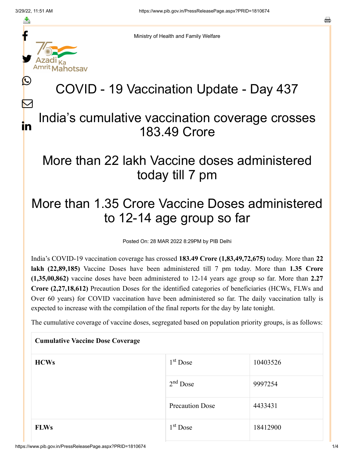f

≛

y.

lahotsav

L

 $\bm{\nabla}$ 

in

a

Ministry of Health and Family Welfare

# COVID - 19 Vaccination Update - Day 437

#### India's cumulative vaccination coverage crosses 183.49 Crore

### More than 22 lakh Vaccine doses administered today till 7 pm

## More than 1.35 Crore Vaccine Doses administered to 12-14 age group so far

Posted On: 28 MAR 2022 8:29PM by PIB Delhi

India's COVID-19 vaccination coverage has crossed **183.49 Crore (1,83,49,72,675)** today. More than **22 lakh (22,89,185)** Vaccine Doses have been administered till 7 pm today. More than **1.35 Crore (1,35,00,862)** vaccine doses have been administered to 12-14 years age group so far. More than **2.27 Crore (2,27,18,612)** Precaution Doses for the identified categories of beneficiaries (HCWs, FLWs and Over 60 years) for COVID vaccination have been administered so far. The daily vaccination tally is expected to increase with the compilation of the final reports for the day by late tonight.

The cumulative coverage of vaccine doses, segregated based on population priority groups, is as follows:

| <b>Cumulative Vaccine Dose Coverage</b> |                        |          |  |
|-----------------------------------------|------------------------|----------|--|
| <b>HCWs</b>                             | $1st$ Dose             | 10403526 |  |
|                                         | $2nd$ Dose             | 9997254  |  |
|                                         | <b>Precaution Dose</b> | 4433431  |  |
| <b>FLWs</b>                             | 1 <sup>st</sup> Dose   | 18412900 |  |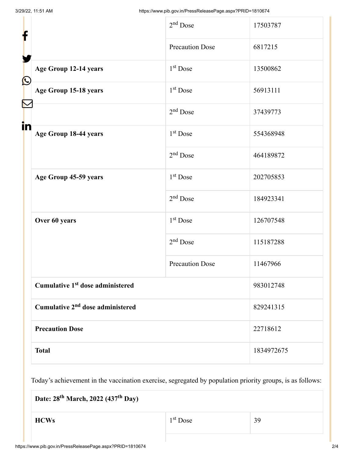| f            |                                              | $2nd$ Dose             | 17503787   |
|--------------|----------------------------------------------|------------------------|------------|
|              |                                              | <b>Precaution Dose</b> | 6817215    |
| $\bf \Omega$ | Age Group 12-14 years                        | $1st$ Dose             | 13500862   |
|              | Age Group 15-18 years                        | $1st$ Dose             | 56913111   |
|              |                                              | $2nd$ Dose             | 37439773   |
| in           | Age Group 18-44 years                        | $1st$ Dose             | 554368948  |
|              |                                              | $2nd$ Dose             | 464189872  |
|              | Age Group 45-59 years                        | 1 <sup>st</sup> Dose   | 202705853  |
|              |                                              | $2nd$ Dose             | 184923341  |
|              | Over 60 years                                | $1st$ Dose             | 126707548  |
|              |                                              | $2nd$ Dose             | 115187288  |
|              |                                              | <b>Precaution Dose</b> | 11467966   |
|              | Cumulative 1 <sup>st</sup> dose administered |                        | 983012748  |
|              | Cumulative 2 <sup>nd</sup> dose administered |                        | 829241315  |
|              | <b>Precaution Dose</b>                       |                        | 22718612   |
|              | <b>Total</b>                                 |                        | 1834972675 |

Today's achievement in the vaccination exercise, segregated by population priority groups, is as follows:

 $\text{HCWs}$  1<sup>st</sup> Dose 39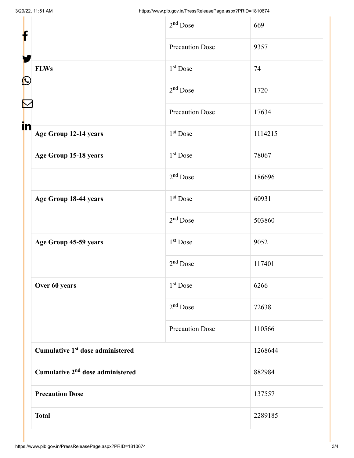| f                                            | $2nd$ Dose             | 669     |
|----------------------------------------------|------------------------|---------|
|                                              | <b>Precaution Dose</b> | 9357    |
| <b>FLWs</b><br>$\mathbf{\Omega}$             | $1st$ Dose             | 74      |
|                                              | $2nd$ Dose             | 1720    |
|                                              | <b>Precaution Dose</b> | 17634   |
| in<br>Age Group 12-14 years                  | $1st$ Dose             | 1114215 |
| Age Group 15-18 years                        | $1st$ Dose             | 78067   |
|                                              | $2nd$ Dose             | 186696  |
| Age Group 18-44 years                        | $1st$ Dose             | 60931   |
|                                              | $2nd$ Dose             | 503860  |
| Age Group 45-59 years                        | $1st$ Dose             | 9052    |
|                                              | $2nd$ Dose             | 117401  |
| Over 60 years                                | 1 <sup>st</sup> Dose   | 6266    |
|                                              | $2nd$ Dose             | 72638   |
|                                              | <b>Precaution Dose</b> | 110566  |
| Cumulative 1 <sup>st</sup> dose administered |                        | 1268644 |
| Cumulative 2 <sup>nd</sup> dose administered |                        | 882984  |
| <b>Precaution Dose</b>                       |                        | 137557  |
| <b>Total</b>                                 |                        | 2289185 |